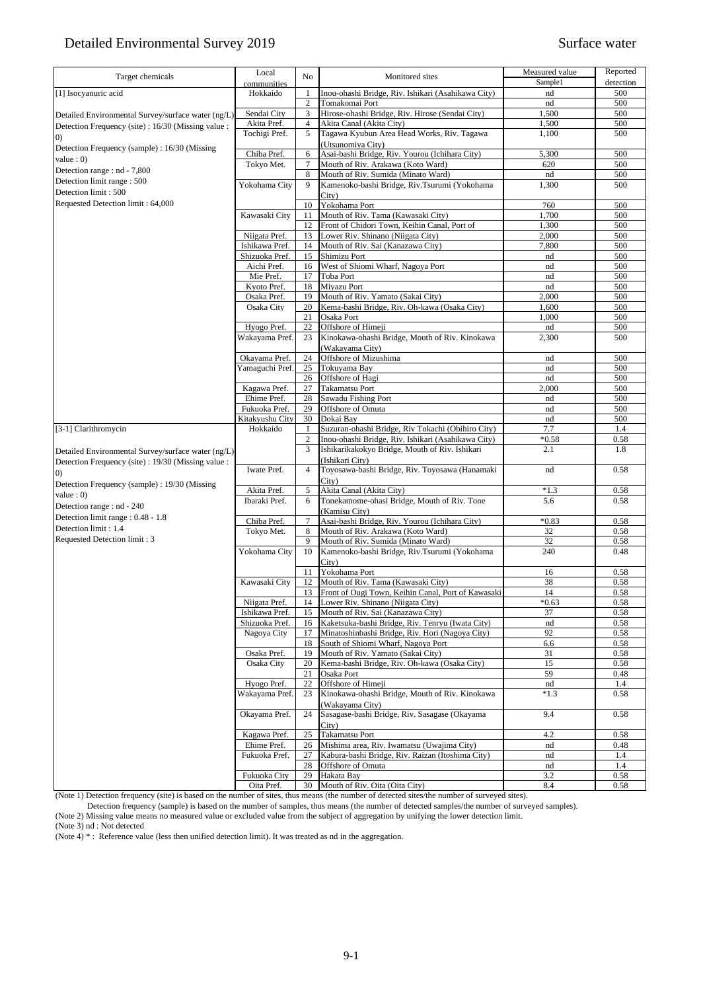| Target chemicals                                    | Local                     | No             | Monitored sites                                                                     | Measured value | Reported    |
|-----------------------------------------------------|---------------------------|----------------|-------------------------------------------------------------------------------------|----------------|-------------|
|                                                     | communities               |                |                                                                                     | Sample1        | detection   |
| [1] Isocyanuric acid                                | Hokkaido                  | $\mathbf{1}$   | Inou-ohashi Bridge, Riv. Ishikari (Asahikawa City)                                  | nd             | 500         |
|                                                     |                           | $\sqrt{2}$     | Tomakomai Port                                                                      | nd             | 500         |
| Detailed Environmental Survey/surface water (ng/L)  | Sendai City               | 3              | Hirose-ohashi Bridge, Riv. Hirose (Sendai City)                                     | 1,500          | 500         |
| Detection Frequency (site) : 16/30 (Missing value : | Akita Pref.               | $\overline{4}$ | Akita Canal (Akita City)                                                            | 1,500          | 500         |
| (0)                                                 | Tochigi Pref.             | 5              | Tagawa Kyubun Area Head Works, Riv. Tagawa                                          | 1,100          | 500         |
| Detection Frequency (sample) : 16/30 (Missing       |                           |                | (Utsunomiya City)                                                                   |                |             |
| value : $0$ )                                       | Chiba Pref.<br>Tokyo Met. | 6<br>$\tau$    | Asai-bashi Bridge, Riv. Yourou (Ichihara City)<br>Mouth of Riv. Arakawa (Koto Ward) | 5,300<br>620   | 500<br>500  |
| Detection range : nd - 7,800                        |                           | 8              | Mouth of Riv. Sumida (Minato Ward)                                                  | nd             | 500         |
| Detection limit range: 500                          | Yokohama City             | 9              | Kamenoko-bashi Bridge, Riv.Tsurumi (Yokohama                                        | 1,300          | 500         |
| Detection limit: 500                                |                           |                | City)                                                                               |                |             |
| Requested Detection limit: 64,000                   |                           | 10             | Yokohama Port                                                                       | 760            | 500         |
|                                                     | Kawasaki City             | 11             | Mouth of Riv. Tama (Kawasaki City)                                                  | 1,700          | 500         |
|                                                     |                           | 12             | Front of Chidori Town, Keihin Canal, Port of                                        | 1,300          | 500         |
|                                                     | Niigata Pref.             | 13             | Lower Riv. Shinano (Niigata City)                                                   | 2,000          | 500         |
|                                                     | Ishikawa Pref.            | 14             | Mouth of Riv. Sai (Kanazawa City)                                                   | 7,800          | 500         |
|                                                     | Shizuoka Pref.            | 15             | Shimizu Port                                                                        | nd             | 500         |
|                                                     | Aichi Pref.               | 16             | West of Shiomi Wharf, Nagoya Port                                                   | nd             | 500         |
|                                                     | Mie Pref.                 | 17             | Toba Port                                                                           | nd             | 500         |
|                                                     | Kyoto Pref.               | 18             | Miyazu Port                                                                         | nd             | 500         |
|                                                     | Osaka Pref.               | 19             | Mouth of Riv. Yamato (Sakai City)                                                   | 2,000          | 500         |
|                                                     | Osaka City                | 20             | Kema-bashi Bridge, Riv. Oh-kawa (Osaka City)                                        | 1,600          | 500         |
|                                                     |                           | 21             | Osaka Port                                                                          | 1,000          | 500         |
|                                                     | Hyogo Pref.               | 22             | Offshore of Himeji                                                                  | nd             | 500         |
|                                                     | Wakayama Pref.            | 23             | Kinokawa-ohashi Bridge, Mouth of Riv. Kinokawa                                      | 2,300          | 500         |
|                                                     |                           |                | (Wakayama City)                                                                     |                |             |
|                                                     | Okayama Pref.             | 24             | Offshore of Mizushima                                                               | nd             | 500         |
|                                                     | Yamaguchi Pref.           | 25             | Tokuyama Bay                                                                        | nd             | 500         |
|                                                     |                           | 26             | Offshore of Hagi                                                                    | nd             | 500         |
|                                                     | Kagawa Pref.              | 27             | Takamatsu Port                                                                      | 2,000          | 500         |
|                                                     | Ehime Pref.               | 28             | Sawadu Fishing Port                                                                 | nd             | 500         |
|                                                     | Fukuoka Pref.             | 29             | Offshore of Omuta                                                                   | nd             | 500         |
|                                                     | Kitakyushu City           | 30             | Dokai Bay                                                                           | nd             | 500         |
| [3-1] Clarithromycin                                | Hokkaido                  | 1              | Suzuran-ohashi Bridge, Riv Tokachi (Obihiro City)                                   | 7.7            | 1.4         |
|                                                     |                           | $\overline{c}$ | Inou-ohashi Bridge, Riv. Ishikari (Asahikawa City)                                  | $*0.58$        | 0.58        |
| Detailed Environmental Survey/surface water (ng/L)  |                           | 3              | Ishikarikakokyo Bridge, Mouth of Riv. Ishikari                                      | 2.1            | 1.8         |
| Detection Frequency (site) : 19/30 (Missing value : |                           |                | (Ishikari City)                                                                     |                |             |
| (0)                                                 | Iwate Pref.               | $\overline{4}$ | Toyosawa-bashi Bridge, Riv. Toyosawa (Hanamaki                                      | nd             | 0.58        |
| Detection Frequency (sample) : 19/30 (Missing       | Akita Pref.               | 5              | City)<br>Akita Canal (Akita City)                                                   | $*1.3$         | 0.58        |
| value: 0)                                           | Ibaraki Pref.             | 6              | Tonekamome-ohasi Bridge, Mouth of Riv. Tone                                         | 5.6            | 0.58        |
| Detection range : nd - 240                          |                           |                | (Kamisu City)                                                                       |                |             |
| Detection limit range: 0.48 - 1.8                   | Chiba Pref.               | $\tau$         | Asai-bashi Bridge, Riv. Yourou (Ichihara City)                                      | $*0.83$        | 0.58        |
| Detection limit: 1.4                                | Tokyo Met.                | 8              | Mouth of Riv. Arakawa (Koto Ward)                                                   | 32             | 0.58        |
| Requested Detection limit: 3                        |                           | 9              | Mouth of Riv. Sumida (Minato Ward)                                                  | 32             | 0.58        |
|                                                     | Yokohama City             | 10             | Kamenoko-bashi Bridge, Riv.Tsurumi (Yokohama                                        | 240            | 0.48        |
|                                                     |                           |                | City)                                                                               |                |             |
|                                                     |                           | 11             | Yokohama Port                                                                       | 16             | 0.58        |
|                                                     | Kawasaki City             | 12             | Mouth of Riv. Tama (Kawasaki City)                                                  | 38             | 0.58        |
|                                                     |                           | 13             | Front of Ougi Town, Keihin Canal, Port of Kawasaki                                  | 14             | 0.58        |
|                                                     | Niigata Pref.             | 14             | Lower Riv. Shinano (Niigata City)                                                   | $*0.63$        | 0.58        |
|                                                     | Ishikawa Pref.            | 15             | Mouth of Riv. Sai (Kanazawa City)                                                   | 37             | 0.58        |
|                                                     | Shizuoka Pref.            | 16             | Kaketsuka-bashi Bridge, Riv. Tenryu (Iwata City)                                    | nd             | 0.58        |
|                                                     | Nagoya City               | 17             | Minatoshinbashi Bridge, Riv. Hori (Nagoya City)                                     | 92             | 0.58        |
|                                                     |                           | 18             | South of Shiomi Wharf, Nagoya Port                                                  | 6.6            | 0.58        |
|                                                     | Osaka Pref.               | 19             | Mouth of Riv. Yamato (Sakai City)                                                   | 31             | 0.58        |
|                                                     | Osaka City                | 20             | Kema-bashi Bridge, Riv. Oh-kawa (Osaka City)                                        | 15             | 0.58        |
|                                                     |                           | 21             | Osaka Port                                                                          | 59             | 0.48        |
|                                                     | Hyogo Pref.               | 22             | Offshore of Himeji                                                                  | nd             | 1.4         |
|                                                     | Wakayama Pref.            | 23             | Kinokawa-ohashi Bridge, Mouth of Riv. Kinokawa                                      | $*1.3$         | 0.58        |
|                                                     |                           |                | (Wakayama City)                                                                     |                |             |
|                                                     | Okayama Pref.             | 24             | Sasagase-bashi Bridge, Riv. Sasagase (Okayama                                       | 9.4            | 0.58        |
|                                                     |                           |                | City)                                                                               |                |             |
|                                                     | Kagawa Pref.              | 25             | Takamatsu Port                                                                      | 4.2            | 0.58        |
|                                                     | Ehime Pref.               | 26             | Mishima area, Riv. Iwamatsu (Uwajima City)                                          | nd             | 0.48        |
|                                                     | Fukuoka Pref.             | 27             | Kabura-bashi Bridge, Riv. Raizan (Itoshima City)                                    | nd             | 1.4         |
|                                                     | Fukuoka City              | 28<br>29       | Offshore of Omuta<br>Hakata Bay                                                     | nd<br>3.2      | 1.4<br>0.58 |
|                                                     | Oita Pref.                | 30             | Mouth of Riv. Oita (Oita City)                                                      | 8.4            | 0.58        |
|                                                     |                           |                |                                                                                     |                |             |

(Note 1) Detection frequency (site) is based on the number of sites, thus means (the number of detected sites/the number of surveyed sites). Detection frequency (sample) is based on the number of samples, thus means (the number of detected samples/the number of surveyed samples).

(Note 2) Missing value means no measured value or excluded value from the subject of aggregation by unifying the lower detection limit.

(Note 3) nd : Not detected

(Note  $4$ )  $*$ : Reference value (less then unified detection limit). It was treated as nd in the aggregation.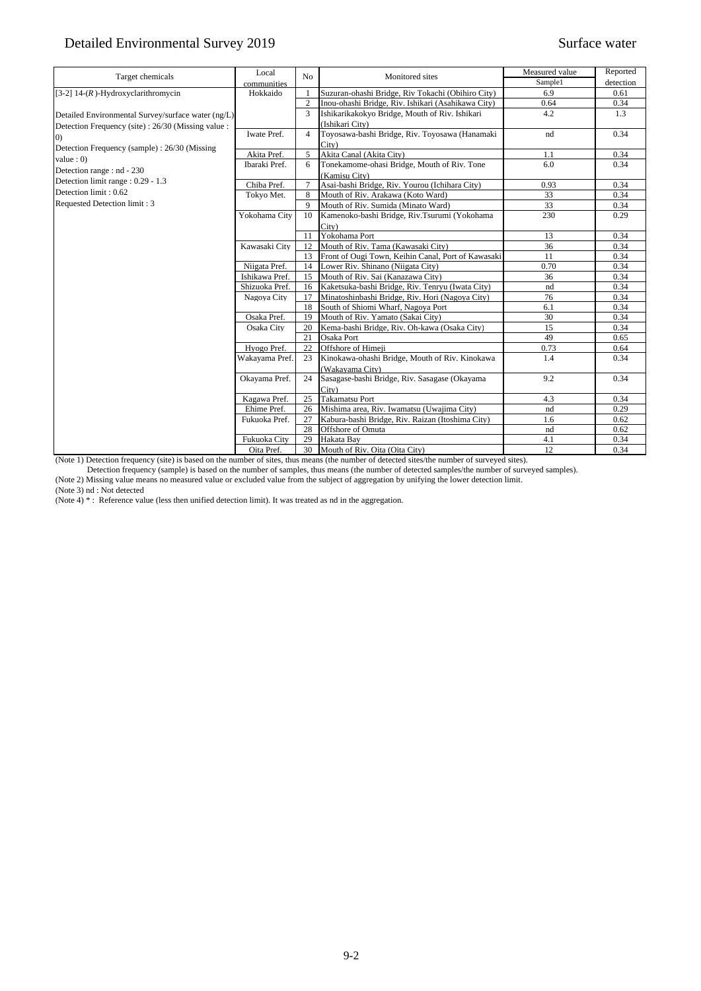| Target chemicals                                    | Local          | No             | Monitored sites                                    | Measured value | Reported  |
|-----------------------------------------------------|----------------|----------------|----------------------------------------------------|----------------|-----------|
|                                                     | communities    |                |                                                    | Sample1        | detection |
| [3-2] $14-(R)$ -Hydroxyclarithromycin               | Hokkaido       | $\mathbf{1}$   | Suzuran-ohashi Bridge, Riv Tokachi (Obihiro City)  | 6.9            | 0.61      |
|                                                     |                | $\overline{2}$ | Inou-ohashi Bridge, Riv. Ishikari (Asahikawa City) | 0.64           | 0.34      |
| Detailed Environmental Survey/surface water (ng/L)  |                | 3              | Ishikarikakokyo Bridge, Mouth of Riv. Ishikari     | 4.2            | 1.3       |
| Detection Frequency (site) : 26/30 (Missing value : |                |                | (Ishikari City)                                    |                |           |
| (0)                                                 | Iwate Pref.    | $\overline{4}$ | Toyosawa-bashi Bridge, Riv. Toyosawa (Hanamaki     | nd             | 0.34      |
| Detection Frequency (sample): 26/30 (Missing        |                |                | City)                                              |                |           |
| value: 0)                                           | Akita Pref.    | 5              | Akita Canal (Akita City)                           | 1.1            | 0.34      |
| Detection range : nd - 230                          | Ibaraki Pref.  | 6              | Tonekamome-ohasi Bridge, Mouth of Riv. Tone        | 6.0            | 0.34      |
| Detection limit range : 0.29 - 1.3                  |                |                | (Kamisu City)                                      |                |           |
| Detection limit: 0.62                               | Chiba Pref.    | $\overline{7}$ | Asai-bashi Bridge, Riv. Yourou (Ichihara City)     | 0.93           | 0.34      |
|                                                     | Tokyo Met.     | 8              | Mouth of Riv. Arakawa (Koto Ward)                  | 33             | 0.34      |
| Requested Detection limit: 3                        |                | 9              | Mouth of Riv. Sumida (Minato Ward)                 | 33             | 0.34      |
|                                                     | Yokohama City  | 10             | Kamenoko-bashi Bridge, Riv.Tsurumi (Yokohama       | 230            | 0.29      |
|                                                     |                |                | City)                                              |                |           |
|                                                     |                | 11             | Yokohama Port                                      | 13             | 0.34      |
|                                                     | Kawasaki City  | 12             | Mouth of Riv. Tama (Kawasaki City)                 | 36             | 0.34      |
|                                                     |                | 13             | Front of Ougi Town, Keihin Canal, Port of Kawasaki | 11             | 0.34      |
|                                                     | Niigata Pref.  | 14             | Lower Riv. Shinano (Niigata City)                  | 0.70           | 0.34      |
|                                                     | Ishikawa Pref. | 15             | Mouth of Riv. Sai (Kanazawa City)                  | 36             | 0.34      |
|                                                     | Shizuoka Pref. | 16             | Kaketsuka-bashi Bridge, Riv. Tenryu (Iwata City)   | nd             | 0.34      |
|                                                     | Nagoya City    | 17             | Minatoshinbashi Bridge, Riv. Hori (Nagoya City)    | 76             | 0.34      |
|                                                     |                | 18             | South of Shiomi Wharf, Nagoya Port                 | 6.1            | 0.34      |
|                                                     | Osaka Pref.    | 19             | Mouth of Riv. Yamato (Sakai City)                  | 30             | 0.34      |
|                                                     | Osaka City     | 20             | Kema-bashi Bridge, Riv. Oh-kawa (Osaka City)       | 15             | 0.34      |
|                                                     |                | 21             | Osaka Port                                         | 49             | 0.65      |
|                                                     | Hyogo Pref.    | 22             | Offshore of Himeji                                 | 0.73           | 0.64      |
|                                                     | Wakayama Pref. | 23             | Kinokawa-ohashi Bridge, Mouth of Riv. Kinokawa     | 1.4            | 0.34      |
|                                                     |                |                | (Wakayama City)                                    |                |           |
|                                                     | Okayama Pref.  | 24             | Sasagase-bashi Bridge, Riv. Sasagase (Okayama      | 9.2            | 0.34      |
|                                                     |                |                | City)                                              |                |           |
|                                                     | Kagawa Pref.   | 25             | <b>Takamatsu Port</b>                              | 4.3            | 0.34      |
|                                                     | Ehime Pref.    | 26             | Mishima area, Riv. Iwamatsu (Uwajima City)         | nd             | 0.29      |
|                                                     | Fukuoka Pref.  | 27             | Kabura-bashi Bridge, Riv. Raizan (Itoshima City)   | 1.6            | 0.62      |
|                                                     |                | 28             | Offshore of Omuta                                  | nd             | 0.62      |
|                                                     | Fukuoka City   | 29             | Hakata Bay                                         | 4.1            | 0.34      |
|                                                     | Oita Pref.     | 30             | Mouth of Riv. Oita (Oita City)                     | 12             | 0.34      |

(Note 1) Detection frequency (site) is based on the number of sites, thus means (the number of detected sites/the number of surveyed sites).

Detection frequency (sample) is based on the number of samples, thus means (the number of detected samples/the number of surveyed samples).

(Note 2) Missing value means no measured value or excluded value from the subject of aggregation by unifying the lower detection limit.

(Note 3) nd : Not detected

(Note 4) \* : Reference value (less then unified detection limit). It was treated as nd in the aggregation.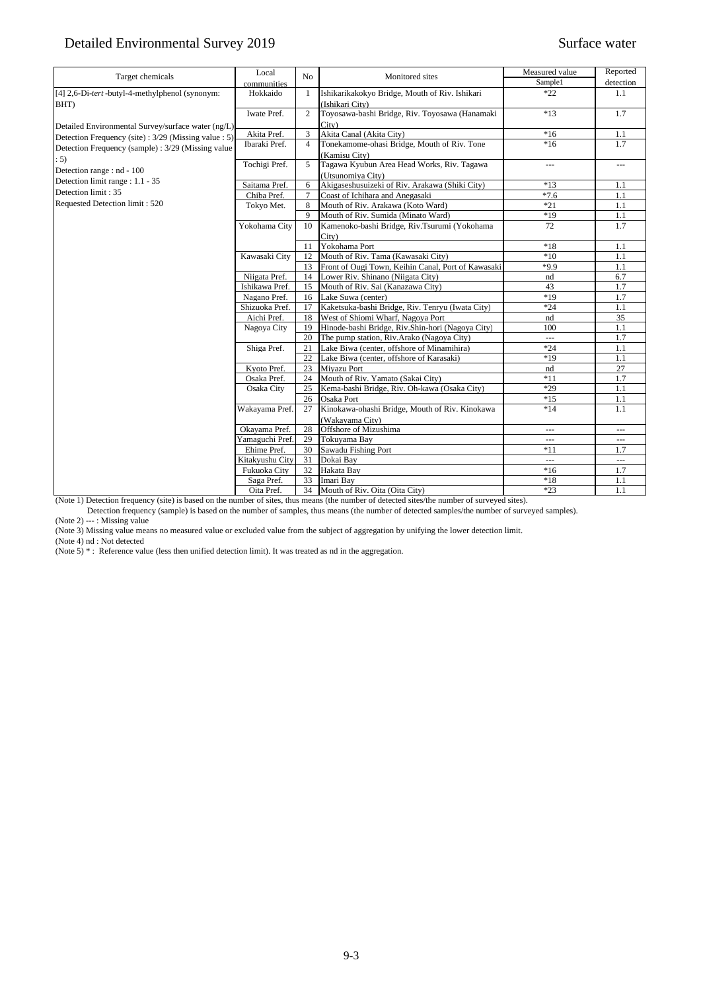| Target chemicals                                    | Local           | No              | Monitored sites                                    | Measured value | Reported       |
|-----------------------------------------------------|-----------------|-----------------|----------------------------------------------------|----------------|----------------|
|                                                     | communities     |                 |                                                    | Sample1        | detection      |
| [4] 2,6-Di-tert-butyl-4-methylphenol (synonym:      | Hokkaido        | 1               | Ishikarikakokyo Bridge, Mouth of Riv. Ishikari     | $*22$          | 1.1            |
| BHT)                                                |                 |                 | (Ishikari City)                                    |                |                |
|                                                     | Iwate Pref.     | 2               | Toyosawa-bashi Bridge, Riv. Toyosawa (Hanamaki     | $*13$          | 1.7            |
| Detailed Environmental Survey/surface water (ng/L)  |                 |                 | City)                                              |                |                |
| Detection Frequency (site): 3/29 (Missing value: 5) | Akita Pref.     | 3               | Akita Canal (Akita City)                           | $*16$          | 1.1            |
| Detection Frequency (sample): 3/29 (Missing value   | Ibaraki Pref.   | $\overline{4}$  | Tonekamome-ohasi Bridge, Mouth of Riv. Tone        | $*16$          | 1.7            |
| : 5)                                                |                 |                 | (Kamisu City)                                      |                |                |
| Detection range : nd - 100                          | Tochigi Pref.   | 5               | Tagawa Kyubun Area Head Works, Riv. Tagawa         | $\overline{a}$ | $\overline{a}$ |
| Detection limit range : 1.1 - 35                    |                 |                 | (Utsunomiva City)                                  |                |                |
| Detection limit: 35                                 | Saitama Pref.   | 6               | Akigaseshusuizeki of Riv. Arakawa (Shiki City)     | $*13$          | 1.1            |
|                                                     | Chiba Pref.     | $7\phantom{.0}$ | Coast of Ichihara and Anegasaki                    | $*7.6$         | 1.1            |
| Requested Detection limit: 520                      | Tokyo Met.      | 8               | Mouth of Riv. Arakawa (Koto Ward)                  | $*21$          | 1.1            |
|                                                     |                 | 9               | Mouth of Riv. Sumida (Minato Ward)                 | $*19$          | 1.1            |
|                                                     | Yokohama City   | 10              | Kamenoko-bashi Bridge, Riv.Tsurumi (Yokohama       | 72             | 1.7            |
|                                                     |                 |                 | City)                                              |                |                |
|                                                     |                 | 11              | Yokohama Port                                      | $*18$          | 1.1            |
|                                                     | Kawasaki City   | 12              | Mouth of Riv. Tama (Kawasaki City)                 | $*10$          | 1.1            |
|                                                     |                 | 13              | Front of Ougi Town, Keihin Canal, Port of Kawasaki | $*9.9$         | 1.1            |
|                                                     | Niigata Pref.   | 14              | Lower Riv. Shinano (Niigata City)                  | nd             | 6.7            |
|                                                     | Ishikawa Pref.  | 15              | Mouth of Riv. Sai (Kanazawa City)                  | 43             | 1.7            |
|                                                     | Nagano Pref.    | 16              | Lake Suwa (center)                                 | $*19$          | 1.7            |
|                                                     | Shizuoka Pref.  | 17              | Kaketsuka-bashi Bridge, Riv. Tenryu (Iwata City)   | $*24$          | 1.1            |
|                                                     | Aichi Pref.     | 18              | West of Shiomi Wharf, Nagoya Port                  | nd             | 35             |
|                                                     | Nagoya City     | 19              | Hinode-bashi Bridge, Riv.Shin-hori (Nagoya City)   | 100            | 1.1            |
|                                                     |                 | 20              | The pump station, Riv.Arako (Nagoya City)          | $\overline{a}$ | 1.7            |
|                                                     | Shiga Pref.     | 21              | Lake Biwa (center, offshore of Minamihira)         | $*24$          | 1.1            |
|                                                     |                 | 22              | Lake Biwa (center, offshore of Karasaki)           | $*19$          | 1.1            |
|                                                     | Kyoto Pref.     | 23              | <b>Mivazu Port</b>                                 | nd             | 27             |
|                                                     | Osaka Pref.     | 24              | Mouth of Riv. Yamato (Sakai City)                  | $*11$          | 1.7            |
|                                                     | Osaka City      | 25              | Kema-bashi Bridge, Riv. Oh-kawa (Osaka City)       | $*29$          | 1.1            |
|                                                     |                 | 26              | Osaka Port                                         | $*15$          | 1.1            |
|                                                     | Wakayama Pref.  | 27              | Kinokawa-ohashi Bridge, Mouth of Riv. Kinokawa     | $*14$          | 1.1            |
|                                                     |                 |                 | (Wakavama City)                                    |                |                |
|                                                     | Okayama Pref.   | 28              | Offshore of Mizushima                              | $\overline{a}$ | $\overline{a}$ |
|                                                     | Yamaguchi Pref. | 29              | Tokuyama Bay                                       | $\overline{a}$ | $\overline{a}$ |
|                                                     | Ehime Pref.     | 30              | Sawadu Fishing Port                                | $*11$          | 1.7            |
|                                                     | Kitakyushu City | 31              | Dokai Bay                                          | $\overline{a}$ | $\overline{a}$ |
|                                                     | Fukuoka City    | 32              | Hakata Bay                                         | $*16$          | 1.7            |
|                                                     | Saga Pref.      | 33              | Imari Bay                                          | $*18$          | 1.1            |
|                                                     | Oita Pref.      | 34              | Mouth of Riv. Oita (Oita City)                     | $*23$          | 1.1            |

(Note 1) Detection frequency (site) is based on the number of sites, thus means (the number of detected sites/the number of surveyed sites).

Detection frequency (sample) is based on the number of samples, thus means (the number of detected samples/the number of surveyed samples).

(Note 2) --- : Missing value

(Note 3) Missing value means no measured value or excluded value from the subject of aggregation by unifying the lower detection limit.

(Note 4) nd : Not detected

(Note 5) \* : Reference value (less then unified detection limit). It was treated as nd in the aggregation.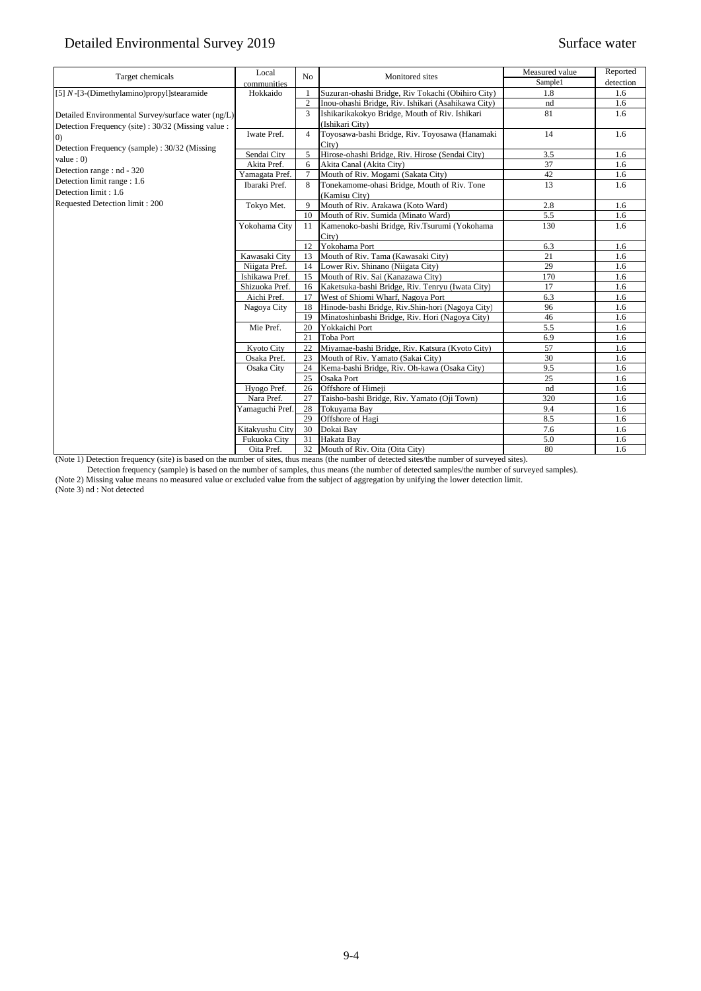| Target chemicals                                   | Local             | No             | Monitored sites                                    | Measured value | Reported  |
|----------------------------------------------------|-------------------|----------------|----------------------------------------------------|----------------|-----------|
|                                                    | communities       |                |                                                    | Sample1        | detection |
| [5] $N$ -[3-(Dimethylamino)propyl]stearamide       | Hokkaido          | $\mathbf{1}$   | Suzuran-ohashi Bridge, Riv Tokachi (Obihiro City)  | 1.8            | 1.6       |
|                                                    |                   | $\sqrt{2}$     | Inou-ohashi Bridge, Riv. Ishikari (Asahikawa City) | nd             | 1.6       |
| Detailed Environmental Survey/surface water (ng/L) |                   | 3              | Ishikarikakokyo Bridge, Mouth of Riv. Ishikari     | 81             | 1.6       |
| Detection Frequency (site): 30/32 (Missing value:  |                   |                | (Ishikari City)                                    |                |           |
| (0)                                                | Iwate Pref.       | $\overline{4}$ | Toyosawa-bashi Bridge, Riv. Toyosawa (Hanamaki     | 14             | 1.6       |
| Detection Frequency (sample): 30/32 (Missing       |                   |                | City)                                              |                |           |
| value: 0)                                          | Sendai City       | 5              | Hirose-ohashi Bridge, Riv. Hirose (Sendai City)    | 3.5            | 1.6       |
| Detection range : nd - 320                         | Akita Pref.       | 6              | Akita Canal (Akita City)                           | 37             | 1.6       |
| Detection limit range: 1.6                         | Yamagata Pref.    | $\overline{7}$ | Mouth of Riv. Mogami (Sakata City)                 | 42             | 1.6       |
| Detection limit: 1.6                               | Ibaraki Pref.     | 8              | Tonekamome-ohasi Bridge, Mouth of Riv. Tone        | 13             | 1.6       |
| Requested Detection limit: 200                     |                   |                | (Kamisu City)                                      |                |           |
|                                                    | Tokyo Met.        | 9              | Mouth of Riv. Arakawa (Koto Ward)                  | 2.8            | 1.6       |
|                                                    |                   | 10             | Mouth of Riv. Sumida (Minato Ward)                 | 5.5            | 1.6       |
|                                                    | Yokohama City     | 11             | Kamenoko-bashi Bridge, Riv.Tsurumi (Yokohama       | 130            | 1.6       |
|                                                    |                   |                | City)                                              |                |           |
|                                                    |                   | 12             | Yokohama Port                                      | 6.3            | 1.6       |
|                                                    | Kawasaki City     | 13             | Mouth of Riv. Tama (Kawasaki City)                 | 21             | 1.6       |
|                                                    | Niigata Pref.     | 14             | Lower Riv. Shinano (Niigata City)                  | 29             | 1.6       |
|                                                    | Ishikawa Pref.    | 15             | Mouth of Riv. Sai (Kanazawa City)                  | 170            | 1.6       |
|                                                    | Shizuoka Pref.    | 16             | Kaketsuka-bashi Bridge, Riv. Tenryu (Iwata City)   | 17             | 1.6       |
|                                                    | Aichi Pref.       | 17             | West of Shiomi Wharf, Nagoya Port                  | 6.3            | 1.6       |
|                                                    | Nagoya City       | 18             | Hinode-bashi Bridge, Riv.Shin-hori (Nagoya City)   | 96             | 1.6       |
|                                                    |                   | 19             | Minatoshinbashi Bridge, Riv. Hori (Nagoya City)    | 46             | 1.6       |
|                                                    | Mie Pref.         | 20             | Yokkaichi Port                                     | 5.5            | 1.6       |
|                                                    |                   | 21             | <b>Toba Port</b>                                   | 6.9            | 1.6       |
|                                                    | <b>Kyoto City</b> | 22             | Miyamae-bashi Bridge, Riv. Katsura (Kyoto City)    | 57             | 1.6       |
|                                                    | Osaka Pref.       | 23             | Mouth of Riv. Yamato (Sakai City)                  | 30             | 1.6       |
|                                                    | Osaka City        | 24             | Kema-bashi Bridge, Riv. Oh-kawa (Osaka City)       | 9.5            | 1.6       |
|                                                    |                   | 25             | Osaka Port                                         | 25             | 1.6       |
|                                                    | Hyogo Pref.       | 26             | Offshore of Himeji                                 | nd             | 1.6       |
|                                                    | Nara Pref.        | 27             | Taisho-bashi Bridge, Riv. Yamato (Oji Town)        | 320            | 1.6       |
|                                                    | Yamaguchi Pref.   | 28             | Tokuyama Bay                                       | 9.4            | 1.6       |
|                                                    |                   | 29             | Offshore of Hagi                                   | 8.5            | 1.6       |
|                                                    | Kitakyushu City   | 30             | Dokai Bay                                          | 7.6            | 1.6       |
|                                                    | Fukuoka City      | 31             | Hakata Bay                                         | 5.0            | 1.6       |
|                                                    | Oita Pref.        | 32             | Mouth of Riv. Oita (Oita City)                     | 80             | 1.6       |

(Note 1) Detection frequency (site) is based on the number of sites, thus means (the number of detected sites/the number of surveyed sites).

Detection frequency (sample) is based on the number of samples, thus means (the number of detected samples/the number of surveyed samples).

(Note 2) Missing value means no measured value or excluded value from the subject of aggregation by unifying the lower detection limit.

(Note 3) nd : Not detected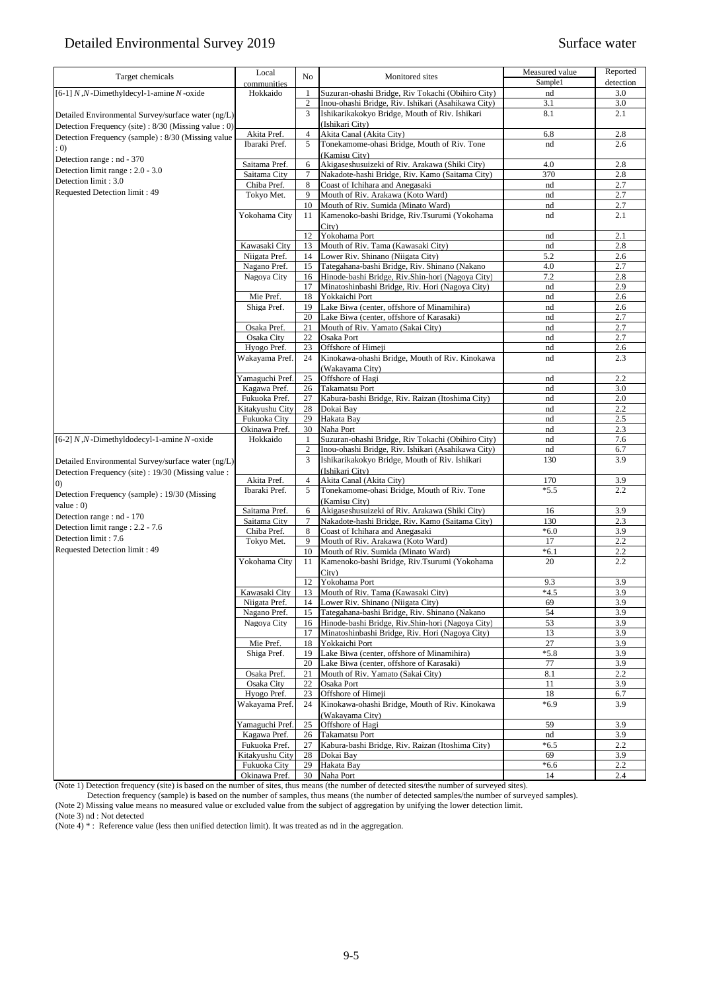| Target chemicals                                    | Local                           | No             | Monitored sites                                                                    | Measured value    | Reported   |
|-----------------------------------------------------|---------------------------------|----------------|------------------------------------------------------------------------------------|-------------------|------------|
|                                                     | communities                     |                |                                                                                    | Sample1           | detection  |
| [6-1] $N$ , $N$ -Dimethyldecyl-1-amine $N$ -oxide   | Hokkaido                        | 1              | Suzuran-ohashi Bridge, Riv Tokachi (Obihiro City)                                  | nd                | 3.0        |
|                                                     |                                 | $\sqrt{2}$     | Inou-ohashi Bridge, Riv. Ishikari (Asahikawa City)                                 | 3.1               | 3.0        |
| Detailed Environmental Survey/surface water (ng/L)  |                                 | 3              | Ishikarikakokyo Bridge, Mouth of Riv. Ishikari                                     | 8.1               | 2.1        |
| Detection Frequency (site): 8/30 (Missing value: 0) | Akita Pref.                     | $\overline{4}$ | (Ishikari City)<br>Akita Canal (Akita City)                                        | 6.8               | 2.8        |
| Detection Frequency (sample): 8/30 (Missing value)  | Ibaraki Pref.                   | 5              | Tonekamome-ohasi Bridge, Mouth of Riv. Tone                                        | nd                | 2.6        |
| : 0)                                                |                                 |                | (Kamisu City)                                                                      |                   |            |
| Detection range : nd - 370                          | Saitama Pref.                   | 6              | Akigaseshusuizeki of Riv. Arakawa (Shiki City)                                     | 4.0               | 2.8        |
| Detection limit range : 2.0 - 3.0                   | Saitama City                    | $\tau$         | Nakadote-hashi Bridge, Riv. Kamo (Saitama City)                                    | 370               | 2.8        |
| Detection limit: 3.0                                | Chiba Pref.                     | 8              | Coast of Ichihara and Anegasaki                                                    | nd                | 2.7        |
| Requested Detection limit: 49                       | Tokyo Met.                      | 9              | Mouth of Riv. Arakawa (Koto Ward)                                                  | nd                | 2.7        |
|                                                     |                                 | 10             | Mouth of Riv. Sumida (Minato Ward)                                                 | nd                | 2.7        |
|                                                     | Yokohama City                   | 11             | Kamenoko-bashi Bridge, Riv.Tsurumi (Yokohama                                       | nd                | 2.1        |
|                                                     |                                 |                | City)                                                                              |                   |            |
|                                                     |                                 | 12             | Yokohama Port                                                                      | nd                | 2.1        |
|                                                     | Kawasaki City<br>Niigata Pref.  | 13             | Mouth of Riv. Tama (Kawasaki City)                                                 | nd<br>5.2         | 2.8        |
|                                                     | Nagano Pref.                    | 14<br>15       | Lower Riv. Shinano (Niigata City)<br>Tategahana-bashi Bridge, Riv. Shinano (Nakano | 4.0               | 2.6<br>2.7 |
|                                                     | Nagoya City                     | 16             | Hinode-bashi Bridge, Riv.Shin-hori (Nagoya City)                                   | 7.2               | 2.8        |
|                                                     |                                 | 17             | Minatoshinbashi Bridge, Riv. Hori (Nagoya City)                                    | nd                | 2.9        |
|                                                     | Mie Pref.                       | 18             | Yokkaichi Port                                                                     | nd                | 2.6        |
|                                                     | Shiga Pref.                     | 19             | Lake Biwa (center, offshore of Minamihira)                                         | nd                | 2.6        |
|                                                     |                                 | 20             | Lake Biwa (center, offshore of Karasaki)                                           | nd                | 2.7        |
|                                                     | Osaka Pref.                     | 21             | Mouth of Riv. Yamato (Sakai City)                                                  | nd                | 2.7        |
|                                                     | Osaka City                      | 22             | Osaka Port                                                                         | nd                | 2.7        |
|                                                     | Hyogo Pref.                     | 23             | Offshore of Himeji                                                                 | nd                | 2.6        |
|                                                     | Wakayama Pref.                  | 24             | Kinokawa-ohashi Bridge, Mouth of Riv. Kinokawa                                     | nd                | 2.3        |
|                                                     |                                 |                | (Wakavama City)                                                                    |                   |            |
|                                                     | Yamaguchi Pref.                 | 25             | Offshore of Hagi                                                                   | nd                | 2.2        |
|                                                     | Kagawa Pref.                    | 26             | <b>Takamatsu Port</b>                                                              | nd                | 3.0        |
|                                                     | Fukuoka Pref.                   | 27             | Kabura-bashi Bridge, Riv. Raizan (Itoshima City)<br>Dokai Bay                      | nd                | 2.0<br>2.2 |
|                                                     | Kitakyushu City<br>Fukuoka City | 28<br>29       | Hakata Bay                                                                         | nd<br>nd          | 2.5        |
|                                                     | Okinawa Pref.                   | 30             | Naha Port                                                                          | nd                | 2.3        |
| [6-2] $N, N$ -Dimethyldodecyl-1-amine $N$ -oxide    | Hokkaido                        | $\mathbf{1}$   | Suzuran-ohashi Bridge, Riv Tokachi (Obihiro City)                                  | nd                | 7.6        |
|                                                     |                                 | $\sqrt{2}$     | Inou-ohashi Bridge, Riv. Ishikari (Asahikawa City)                                 | nd                | 6.7        |
| Detailed Environmental Survey/surface water (ng/L)  |                                 | 3              | Ishikarikakokyo Bridge, Mouth of Riv. Ishikari                                     | 130               | 3.9        |
| Detection Frequency (site) : 19/30 (Missing value : |                                 |                | (Ishikari City)                                                                    |                   |            |
| $\left( 0\right)$                                   | Akita Pref.                     | $\overline{4}$ | Akita Canal (Akita City)                                                           | 170               | 3.9        |
| Detection Frequency (sample): 19/30 (Missing        | Ibaraki Pref.                   | 5              | Tonekamome-ohasi Bridge, Mouth of Riv. Tone                                        | $*5.5$            | 2.2        |
| value: 0)                                           |                                 |                | (Kamisu City)                                                                      |                   |            |
| Detection range : nd - 170                          | Saitama Pref.                   | 6              | Akigaseshusuizeki of Riv. Arakawa (Shiki City)                                     | 16                | 3.9        |
| Detection limit range : 2.2 - 7.6                   | Saitama City                    | $\tau$         | Nakadote-hashi Bridge, Riv. Kamo (Saitama City)                                    | 130               | 2.3        |
| Detection limit: 7.6                                | Chiba Pref.                     | 8              | Coast of Ichihara and Anegasaki                                                    | $*6.0$            | 3.9        |
| Requested Detection limit: 49                       | Tokyo Met.                      | 9              | Mouth of Riv. Arakawa (Koto Ward)                                                  | 17                | 2.2        |
|                                                     | Yokohama City                   | 10<br>11       | Mouth of Riv. Sumida (Minato Ward)                                                 | $*6.1$<br>20      | 2.2<br>2.2 |
|                                                     |                                 |                | Kamenoko-bashi Bridge, Riv.Tsurumi (Yokohama<br>City)                              |                   |            |
|                                                     |                                 | 12             | Yokohama Port                                                                      | 9.3               | 3.9        |
|                                                     | Kawasaki City                   |                | 13 Mouth of Riv. Tama (Kawasaki City)                                              | $*4.\overline{5}$ | 3.9        |
|                                                     | Niigata Pref.                   | 14             | Lower Riv. Shinano (Niigata City)                                                  | 69                | 3.9        |
|                                                     | Nagano Pref.                    | 15             | Tategahana-bashi Bridge, Riv. Shinano (Nakano                                      | 54                | 3.9        |
|                                                     | Nagoya City                     | 16             | Hinode-bashi Bridge, Riv.Shin-hori (Nagoya City)                                   | 53                | 3.9        |
|                                                     |                                 | 17             | Minatoshinbashi Bridge, Riv. Hori (Nagoya City)                                    | 13                | 3.9        |
|                                                     | Mie Pref.                       | 18             | Yokkaichi Port                                                                     | 27                | 3.9        |
|                                                     | Shiga Pref.                     | 19             | Lake Biwa (center, offshore of Minamihira)                                         | $*5.8$            | 3.9        |
|                                                     |                                 | 20             | Lake Biwa (center, offshore of Karasaki)                                           | 77                | 3.9        |
|                                                     | Osaka Pref.<br>Osaka City       | 21             | Mouth of Riv. Yamato (Sakai City)                                                  | 8.1               | 2.2        |
|                                                     | Hyogo Pref.                     | 22             | Osaka Port<br>Offshore of Himeji                                                   | 11                | 3.9<br>6.7 |
|                                                     | Wakayama Pref.                  | 23<br>24       | Kinokawa-ohashi Bridge, Mouth of Riv. Kinokawa                                     | 18<br>$*6.9$      | 3.9        |
|                                                     |                                 |                | (Wakayama City)                                                                    |                   |            |
|                                                     | Yamaguchi Pref.                 | 25             | Offshore of Hagi                                                                   | 59                | 3.9        |
|                                                     | Kagawa Pref.                    | 26             | Takamatsu Port                                                                     | nd                | 3.9        |
|                                                     | Fukuoka Pref.                   | 27             | Kabura-bashi Bridge, Riv. Raizan (Itoshima City)                                   | $*6.5$            | 2.2        |
|                                                     | Kitakyushu City                 | 28             | Dokai Bay                                                                          | 69                | 3.9        |
|                                                     | Fukuoka City                    | 29             | Hakata Bay                                                                         | $*6.6$            | 2.2        |
|                                                     | Okinawa Pref.                   | 30             | Naha Port                                                                          | 14                | 2.4        |

(Note 1) Detection frequency (site) is based on the number of sites, thus means (the number of detected sites/the number of surveyed sites).

Detection frequency (sample) is based on the number of samples, thus means (the number of detected samples/the number of surveyed samples).

(Note 2) Missing value means no measured value or excluded value from the subject of aggregation by unifying the lower detection limit.

(Note 3) nd : Not detected

(Note  $4$ )<sup>\*</sup>: Reference value (less then unified detection limit). It was treated as nd in the aggregation.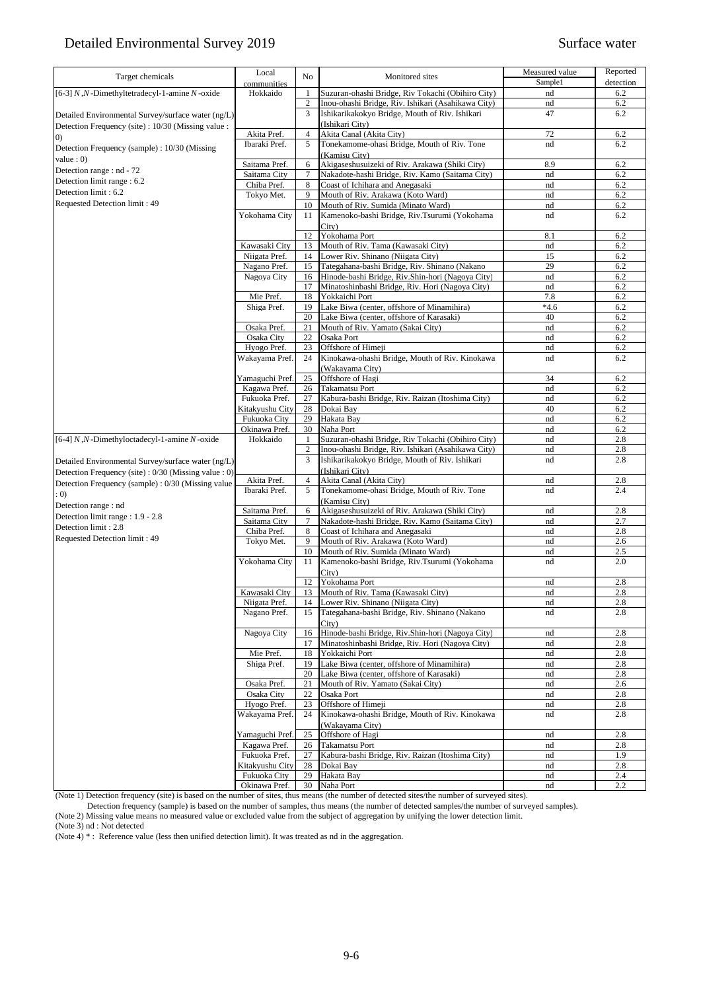| Target chemicals                                    | Local                         | No                               | Monitored sites                                                                                         | Measured value | Reported   |
|-----------------------------------------------------|-------------------------------|----------------------------------|---------------------------------------------------------------------------------------------------------|----------------|------------|
|                                                     | communities                   |                                  |                                                                                                         | Sample1        | detection  |
| [6-3] $N, N$ -Dimethyltetradecyl-1-amine $N$ -oxide | Hokkaido                      | $\mathbf{1}$                     | Suzuran-ohashi Bridge, Riv Tokachi (Obihiro City)                                                       | nd             | 6.2        |
|                                                     |                               | $\sqrt{2}$                       | Inou-ohashi Bridge, Riv. Ishikari (Asahikawa City)                                                      | nd             | 6.2        |
| Detailed Environmental Survey/surface water (ng/L)  |                               | 3                                | Ishikarikakokyo Bridge, Mouth of Riv. Ishikari                                                          | 47             | 6.2        |
| Detection Frequency (site) : 10/30 (Missing value : |                               |                                  | (Ishikari City)                                                                                         |                |            |
| (0)                                                 | Akita Pref.                   | $\overline{4}$                   | Akita Canal (Akita City)                                                                                | 72             | 6.2        |
| Detection Frequency (sample): 10/30 (Missing        | Ibaraki Pref.                 | 5                                | Tonekamome-ohasi Bridge, Mouth of Riv. Tone                                                             | nd             | 6.2        |
| value : $0$ )                                       |                               |                                  | (Kamisu City)<br>Akigaseshusuizeki of Riv. Arakawa (Shiki City)                                         |                |            |
| Detection range : nd - 72                           | Saitama Pref.<br>Saitama City | 6<br>$\overline{7}$              | Nakadote-hashi Bridge, Riv. Kamo (Saitama City)                                                         | 8.9<br>nd      | 6.2<br>6.2 |
| Detection limit range : 6.2                         | Chiba Pref.                   | 8                                | Coast of Ichihara and Anegasaki                                                                         | nd             | 6.2        |
| Detection limit: 6.2                                | Tokyo Met.                    | 9                                | Mouth of Riv. Arakawa (Koto Ward)                                                                       | nd             | 6.2        |
| Requested Detection limit: 49                       |                               | 10                               | Mouth of Riv. Sumida (Minato Ward)                                                                      | nd             | 6.2        |
|                                                     | Yokohama City                 | 11                               | Kamenoko-bashi Bridge, Riv.Tsurumi (Yokohama                                                            | nd             | 6.2        |
|                                                     |                               |                                  | City)                                                                                                   |                |            |
|                                                     |                               | 12                               | Yokohama Port                                                                                           | 8.1            | 6.2        |
|                                                     | Kawasaki City                 | 13                               | Mouth of Riv. Tama (Kawasaki City)                                                                      | nd             | 6.2        |
|                                                     | Niigata Pref.                 | 14                               | Lower Riv. Shinano (Niigata City)                                                                       | 15             | 6.2        |
|                                                     | Nagano Pref.                  | 15                               | Tategahana-bashi Bridge, Riv. Shinano (Nakano                                                           | 29             | 6.2        |
|                                                     | Nagoya City                   | 16                               | Hinode-bashi Bridge, Riv.Shin-hori (Nagoya City)                                                        | nd             | 6.2        |
|                                                     |                               | 17                               | Minatoshinbashi Bridge, Riv. Hori (Nagoya City)                                                         | nd             | 6.2        |
|                                                     | Mie Pref.                     | 18                               | Yokkaichi Port                                                                                          | 7.8            | 6.2        |
|                                                     | Shiga Pref.                   | 19                               | Lake Biwa (center, offshore of Minamihira)                                                              | $*4.6$         | 6.2        |
|                                                     |                               | 20                               | Lake Biwa (center, offshore of Karasaki)                                                                | 40             | 6.2        |
|                                                     | Osaka Pref.                   | 21                               | Mouth of Riv. Yamato (Sakai City)                                                                       | nd             | 6.2        |
|                                                     | Osaka City                    | 22                               | Osaka Port                                                                                              | nd             | 6.2        |
|                                                     | Hyogo Pref.                   | 23                               | Offshore of Himeji                                                                                      | nd             | 6.2        |
|                                                     | Wakayama Pref.                | 24                               | Kinokawa-ohashi Bridge, Mouth of Riv. Kinokawa                                                          | nd             | 6.2        |
|                                                     |                               |                                  | (Wakayama City)                                                                                         |                |            |
|                                                     | Yamaguchi Pref.               | 25                               | Offshore of Hagi                                                                                        | 34             | 6.2        |
|                                                     | Kagawa Pref.                  | 26                               | Takamatsu Port                                                                                          | nd             | 6.2        |
|                                                     | Fukuoka Pref.                 | 27                               | Kabura-bashi Bridge, Riv. Raizan (Itoshima City)                                                        | nd             | 6.2        |
|                                                     | Kitakyushu City               | 28                               | Dokai Bay                                                                                               | 40             | 6.2        |
|                                                     | Fukuoka City                  | 29                               | Hakata Bay<br>Naha Port                                                                                 | nd             | 6.2        |
|                                                     | Okinawa Pref.<br>Hokkaido     | 30                               |                                                                                                         | nd             | 6.2        |
| [6-4] N,N-Dimethyloctadecyl-1-amine N-oxide         |                               | $\mathbf{1}$<br>$\boldsymbol{2}$ | Suzuran-ohashi Bridge, Riv Tokachi (Obihiro City)<br>Inou-ohashi Bridge, Riv. Ishikari (Asahikawa City) | nd<br>nd       | 2.8<br>2.8 |
|                                                     |                               | $\overline{3}$                   | Ishikarikakokyo Bridge, Mouth of Riv. Ishikari                                                          | nd             | 2.8        |
| Detailed Environmental Survey/surface water (ng/L)  |                               |                                  | (Ishikari City)                                                                                         |                |            |
| Detection Frequency (site): 0/30 (Missing value: 0) | Akita Pref.                   | $\overline{4}$                   | Akita Canal (Akita City)                                                                                | nd             | 2.8        |
| Detection Frequency (sample): 0/30 (Missing value   | Ibaraki Pref.                 | 5                                | Tonekamome-ohasi Bridge, Mouth of Riv. Tone                                                             | nd             | 2.4        |
| : 0)                                                |                               |                                  | (Kamisu City)                                                                                           |                |            |
| Detection range : nd                                | Saitama Pref.                 | 6                                | Akigaseshusuizeki of Riv. Arakawa (Shiki City)                                                          | nd             | 2.8        |
| Detection limit range : 1.9 - 2.8                   | Saitama City                  | 7                                | Nakadote-hashi Bridge, Riv. Kamo (Saitama City)                                                         | nd             | 2.7        |
| Detection limit: 2.8                                | Chiba Pref.                   | 8                                | Coast of Ichihara and Anegasaki                                                                         | nd             | 2.8        |
| Requested Detection limit: 49                       | Tokyo Met.                    | 9                                | Mouth of Riv. Arakawa (Koto Ward)                                                                       | nd             | 2.6        |
|                                                     |                               | 10                               | Mouth of Riv. Sumida (Minato Ward)                                                                      | nd             | 2.5        |
|                                                     | Yokohama City                 | 11                               | Kamenoko-bashi Bridge, Riv.Tsurumi (Yokohama                                                            | nd             | 2.0        |
|                                                     |                               |                                  | City)                                                                                                   |                |            |
|                                                     |                               | 12                               | Yokohama Port                                                                                           | nd             | 2.8        |
|                                                     | Kawasaki City                 |                                  | 13 Mouth of Riv. Tama (Kawasaki City)                                                                   | nd             | 2.8        |
|                                                     | Niigata Pref.                 | 14                               | Lower Riv. Shinano (Niigata City)                                                                       | nd             | 2.8        |
|                                                     | Nagano Pref.                  | 15                               | Tategahana-bashi Bridge, Riv. Shinano (Nakano                                                           | nd             | 2.8        |
|                                                     |                               |                                  | City)                                                                                                   |                |            |
|                                                     | Nagoya City                   | 16                               | Hinode-bashi Bridge, Riv.Shin-hori (Nagoya City)                                                        | nd             | 2.8        |
|                                                     |                               | 17                               | Minatoshinbashi Bridge, Riv. Hori (Nagoya City)                                                         | nd             | 2.8        |
|                                                     | Mie Pref.                     | 18                               | Yokkaichi Port                                                                                          | nd             | 2.8        |
|                                                     | Shiga Pref.                   | 19                               | Lake Biwa (center, offshore of Minamihira)                                                              | nd             | 2.8        |
|                                                     | Osaka Pref.                   | 20<br>21                         | Lake Biwa (center, offshore of Karasaki)<br>Mouth of Riv. Yamato (Sakai City)                           | nd             | 2.8<br>2.6 |
|                                                     | Osaka City                    | 22                               | Osaka Port                                                                                              | nd<br>nd       | 2.8        |
|                                                     | Hyogo Pref.                   | 23                               | Offshore of Himeji                                                                                      |                | 2.8        |
|                                                     | Wakayama Pref.                | 24                               | Kinokawa-ohashi Bridge, Mouth of Riv. Kinokawa                                                          | nd<br>nd       | 2.8        |
|                                                     |                               |                                  | (Wakavama City)                                                                                         |                |            |
|                                                     | Yamaguchi Pref.               | 25                               | Offshore of Hagi                                                                                        | nd             | 2.8        |
|                                                     | Kagawa Pref.                  | 26                               | Takamatsu Port                                                                                          | nd             | 2.8        |
|                                                     | Fukuoka Pref.                 | 27                               | Kabura-bashi Bridge, Riv. Raizan (Itoshima City)                                                        | nd             | 1.9        |
|                                                     | Kitakyushu City               | 28                               | Dokai Bay                                                                                               | nd             | 2.8        |
|                                                     | Fukuoka City                  | 29                               | Hakata Bay                                                                                              | nd             | 2.4        |
|                                                     | Okinawa Pref.                 | 30                               | Naha Port                                                                                               | nd             | 2.2        |

(Note 1) Detection frequency (site) is based on the number of sites, thus means (the number of detected sites/the number of surveyed sites).

Detection frequency (sample) is based on the number of samples, thus means (the number of detected samples/the number of surveyed samples).

(Note 2) Missing value means no measured value or excluded value from the subject of aggregation by unifying the lower detection limit.

(Note 3) nd : Not detected

(Note 4)  $*$ : Reference value (less then unified detection limit). It was treated as nd in the aggregation.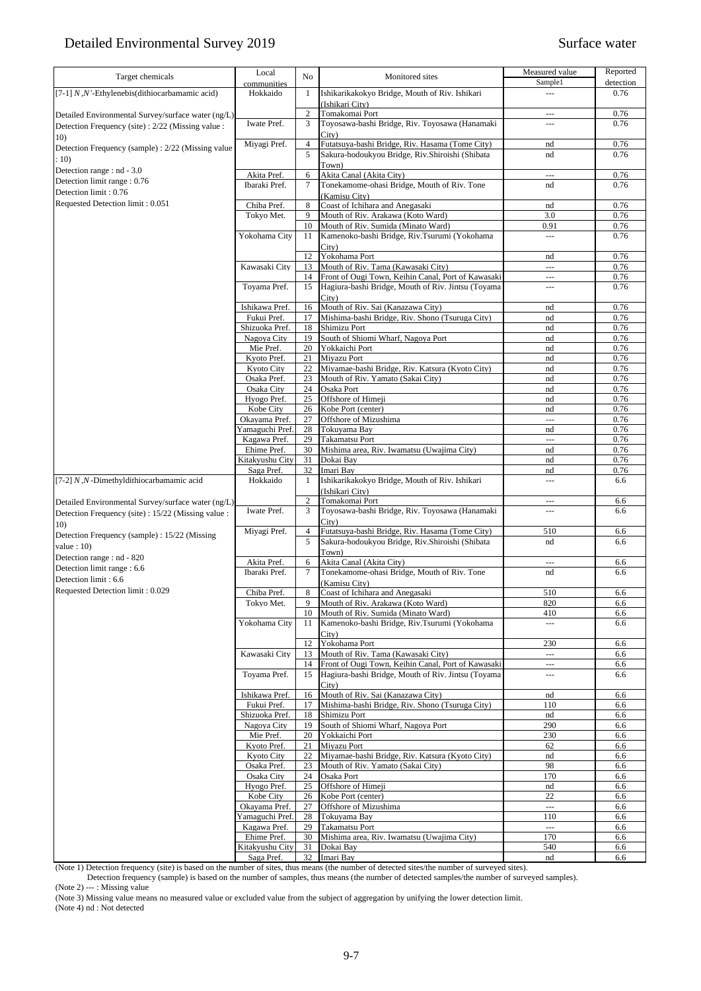| Target chemicals                                            | Local<br>communities           | No             | Monitored sites                                                                                          | Measured value<br>Sample1       | Reported<br>detection |
|-------------------------------------------------------------|--------------------------------|----------------|----------------------------------------------------------------------------------------------------------|---------------------------------|-----------------------|
| [7-1] $N,N$ '-Ethylenebis(dithiocarbamamic acid)            | Hokkaido                       | $\mathbf{1}$   | Ishikarikakokyo Bridge, Mouth of Riv. Ishikari<br>(Ishikari City)                                        | $\sim$                          | 0.76                  |
| Detailed Environmental Survey/surface water (ng/L)          |                                | $\overline{2}$ | Tomakomai Port                                                                                           | $\overline{a}$                  | 0.76                  |
| Detection Frequency (site) : 2/22 (Missing value :          | Iwate Pref.                    | 3              | Toyosawa-bashi Bridge, Riv. Toyosawa (Hanamaki                                                           | ---                             | 0.76                  |
| 10)                                                         | Miyagi Pref.                   | $\overline{4}$ | City)<br>Futatsuya-bashi Bridge, Riv. Hasama (Tome City)                                                 | nd                              | 0.76                  |
| Detection Frequency (sample) : 2/22 (Missing value<br>: 10) |                                | 5              | Sakura-hodoukyou Bridge, Riv.Shiroishi (Shibata                                                          | nd                              | 0.76                  |
| Detection range : nd - 3.0                                  | Akita Pref.                    | 6              | Town)<br>Akita Canal (Akita City)                                                                        | $\overline{a}$                  | 0.76                  |
| Detection limit range: 0.76                                 | Ibaraki Pref.                  | $\tau$         | Tonekamome-ohasi Bridge, Mouth of Riv. Tone                                                              | nd                              | 0.76                  |
| Detection limit: 0.76                                       |                                |                | (Kamisu City)                                                                                            |                                 |                       |
| Requested Detection limit: 0.051                            | Chiba Pref.                    | 8<br>9         | Coast of Ichihara and Anegasaki<br>Mouth of Riv. Arakawa (Koto Ward)                                     | nd<br>3.0                       | 0.76<br>0.76          |
|                                                             | Tokyo Met.                     | 10             | Mouth of Riv. Sumida (Minato Ward)                                                                       | 0.91                            | 0.76                  |
|                                                             | Yokohama City                  | 11             | Kamenoko-bashi Bridge, Riv.Tsurumi (Yokohama                                                             | $\sim$ $\sim$                   | 0.76                  |
|                                                             |                                | 12             | City)<br>Yokohama Port                                                                                   | nd                              | 0.76                  |
|                                                             | Kawasaki City                  | 13             | Mouth of Riv. Tama (Kawasaki City)                                                                       | $\overline{a}$                  | 0.76                  |
|                                                             |                                | 14             | Front of Ougi Town, Keihin Canal, Port of Kawasaki                                                       | ---                             | 0.76                  |
|                                                             | Toyama Pref.                   | 15             | Hagiura-bashi Bridge, Mouth of Riv. Jintsu (Toyama<br>City)                                              | $\overline{a}$                  | 0.76                  |
|                                                             | Ishikawa Pref.                 | 16             | Mouth of Riv. Sai (Kanazawa City)                                                                        | nd                              | 0.76                  |
|                                                             | Fukui Pref.                    | 17             | Mishima-bashi Bridge, Riv. Shono (Tsuruga City)                                                          | nd                              | 0.76                  |
|                                                             | Shizuoka Pref.<br>Nagoya City  | 18<br>19       | Shimizu Port<br>South of Shiomi Wharf, Nagoya Port                                                       | nd<br>nd                        | 0.76<br>0.76          |
|                                                             | Mie Pref.                      | 20             | Yokkaichi Port                                                                                           | nd                              | 0.76                  |
|                                                             | Kyoto Pref.                    | 21             | Miyazu Port                                                                                              | nd                              | 0.76                  |
|                                                             | Kyoto City<br>Osaka Pref.      | 22<br>23       | Miyamae-bashi Bridge, Riv. Katsura (Kyoto City)<br>Mouth of Riv. Yamato (Sakai City)                     | nd<br>nd                        | 0.76<br>0.76          |
|                                                             | Osaka City                     | 24             | Osaka Port                                                                                               | nd                              | 0.76                  |
|                                                             | Hyogo Pref.                    | 25             | Offshore of Himeji                                                                                       | nd                              | 0.76                  |
|                                                             | Kobe City<br>Okayama Pref.     | 26<br>27       | Kobe Port (center)<br>Offshore of Mizushima                                                              | nd<br>$\overline{a}$            | 0.76<br>0.76          |
|                                                             | Yamaguchi Pref.                | 28             | Tokuyama Bay                                                                                             | nd                              | 0.76                  |
|                                                             | Kagawa Pref.                   | 29             | Takamatsu Port                                                                                           | $\overline{a}$                  | 0.76                  |
|                                                             | Ehime Pref.<br>Kitakyushu City | 30             | Mishima area, Riv. Iwamatsu (Uwajima City)<br>Dokai Bay                                                  | nd<br>nd                        | 0.76<br>0.76          |
|                                                             | Saga Pref.                     | 31<br>32       | Imari Bay                                                                                                | nd                              | 0.76                  |
| [7-2] N,N-Dimethyldithiocarbamamic acid                     | Hokkaido                       | $\mathbf{1}$   | Ishikarikakokyo Bridge, Mouth of Riv. Ishikari<br>(Ishikari City)                                        | $\overline{a}$                  | 6.6                   |
| Detailed Environmental Survey/surface water (ng/L)          |                                | $\overline{c}$ | Tomakomai Port                                                                                           | ---                             | 6.6                   |
| Detection Frequency (site) : 15/22 (Missing value :         | Iwate Pref.                    | 3              | Toyosawa-bashi Bridge, Riv. Toyosawa (Hanamaki<br>City)                                                  | $--$                            | 6.6                   |
| 10)<br>Detection Frequency (sample) : 15/22 (Missing        | Miyagi Pref.                   | $\overline{4}$ | Futatsuya-bashi Bridge, Riv. Hasama (Tome City)                                                          | 510                             | 6.6                   |
| value: $10$ )                                               |                                | 5              | Sakura-hodoukyou Bridge, Riv.Shiroishi (Shibata                                                          | nd                              | 6.6                   |
| Detection range : nd - 820                                  | Akita Pref.                    | 6              | Town)<br>Akita Canal (Akita City)                                                                        | $\hspace{0.05cm} \ldots$        | 6.6                   |
| Detection limit range: 6.6                                  | Ibaraki Pref.                  | $\tau$         | Tonekamome-ohasi Bridge, Mouth of Riv. Tone                                                              | nd                              | 6.6                   |
| Detection limit: 6.6<br>Requested Detection limit: 0.029    |                                |                | (Kamisu City)                                                                                            |                                 |                       |
|                                                             | Chiba Pref.<br>Tokyo Met.      | 8<br>9         | Coast of Ichihara and Anegasaki<br>Mouth of Riv. Arakawa (Koto Ward)                                     | 510<br>820                      | 6.6<br>6.6            |
|                                                             |                                | 10             | Mouth of Riv. Sumida (Minato Ward)                                                                       | 410                             | 6.6                   |
|                                                             | Yokohama City                  | 11             | Kamenoko-bashi Bridge, Riv.Tsurumi (Yokohama                                                             | $\sim$ $\sim$                   | 6.6                   |
|                                                             |                                | 12             | City)<br>Yokohama Port                                                                                   | 230                             | 6.6                   |
|                                                             | Kawasaki City                  | 13             | Mouth of Riv. Tama (Kawasaki City)                                                                       | $\cdots$                        | 6.6                   |
|                                                             | Toyama Pref.                   | 14<br>15       | Front of Ougi Town, Keihin Canal, Port of Kawasaki<br>Hagiura-bashi Bridge, Mouth of Riv. Jintsu (Toyama | $\cdots$<br>---                 | 6.6<br>6.6            |
|                                                             |                                |                | City)                                                                                                    |                                 |                       |
|                                                             | Ishikawa Pref.                 | 16             | Mouth of Riv. Sai (Kanazawa City)                                                                        | nd                              | 6.6                   |
|                                                             | Fukui Pref.<br>Shizuoka Pref.  | 17<br>18       | Mishima-bashi Bridge, Riv. Shono (Tsuruga City)<br>Shimizu Port                                          | 110<br>nd                       | 6.6<br>6.6            |
|                                                             | Nagoya City                    | 19             | South of Shiomi Wharf, Nagoya Port                                                                       | 290                             | 6.6                   |
|                                                             | Mie Pref.                      | 20             | Yokkaichi Port                                                                                           | 230                             | 6.6                   |
|                                                             | Kyoto Pref.<br>Kyoto City      | 21<br>22       | Miyazu Port<br>Miyamae-bashi Bridge, Riv. Katsura (Kyoto City)                                           | 62<br>nd                        | 6.6<br>6.6            |
|                                                             | Osaka Pref.                    | 23             | Mouth of Riv. Yamato (Sakai City)                                                                        | 98                              | 6.6                   |
|                                                             | Osaka City                     | 24             | Osaka Port                                                                                               | 170                             | 6.6                   |
|                                                             | Hyogo Pref.<br>Kobe City       | 25<br>26       | Offshore of Himeji<br>Kobe Port (center)                                                                 | nd<br>22                        | 6.6<br>6.6            |
|                                                             | Okayama Pref.                  | 27             | Offshore of Mizushima                                                                                    | $\sim$ $\sim$                   | 6.6                   |
|                                                             | Yamaguchi Pref.                | 28             | Tokuyama Bay                                                                                             | 110                             | 6.6                   |
|                                                             | Kagawa Pref.<br>Ehime Pref.    | 29<br>30       | Takamatsu Port<br>Mishima area, Riv. Iwamatsu (Uwajima City)                                             | $\hspace{0.05cm} \ldots$<br>170 | 6.6<br>6.6            |
|                                                             | Kitakyushu City                | 31             | Dokai Bay                                                                                                | 540                             | 6.6                   |
|                                                             | Saga Pref.                     | 32             | Imari Bay                                                                                                | nd                              | 6.6                   |

(Note 1) Detection frequency (site) is based on the number of sites, thus means (the number of detected sites/the number of surveyed sites).

 Detection frequency (sample) is based on the number of samples, thus means (the number of detected samples/the number of surveyed samples). (Note 2) --- : Missing value

(Note 3) Missing value means no measured value or excluded value from the subject of aggregation by unifying the lower detection limit. (Note 4) nd : Not detected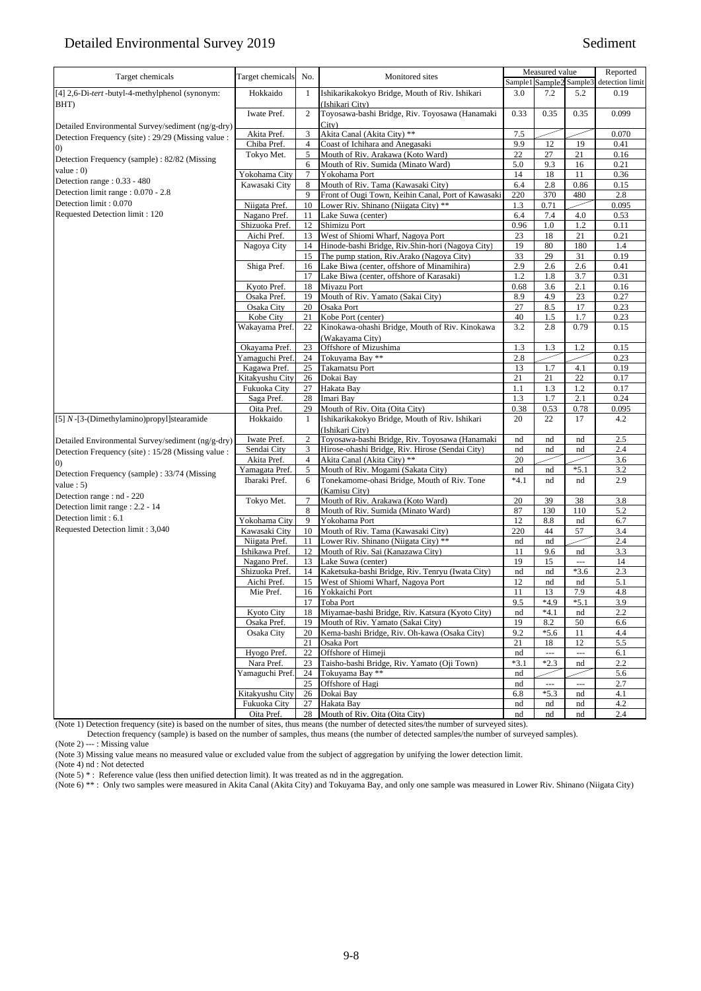## Detailed Environmental Survey 2019 Sediment

| Target chemicals                                    | Target chemicals               | No.            | Monitored sites                                                   | Sample1     | Measured value<br>Sample2 | Sample3        | Reported<br>detection limit |
|-----------------------------------------------------|--------------------------------|----------------|-------------------------------------------------------------------|-------------|---------------------------|----------------|-----------------------------|
| [4] 2,6-Di-tert-butyl-4-methylphenol (synonym:      | Hokkaido                       | $\mathbf{1}$   | Ishikarikakokyo Bridge, Mouth of Riv. Ishikari                    | 3.0         | 7.2                       | 5.2            | 0.19                        |
| BHT)                                                | Iwate Pref.                    | $\overline{c}$ | (Ishikari City)<br>Toyosawa-bashi Bridge, Riv. Toyosawa (Hanamaki | 0.33        | 0.35                      | 0.35           | 0.099                       |
| Detailed Environmental Survey/sediment (ng/g-dry)   |                                |                | City)                                                             |             |                           |                |                             |
| Detection Frequency (site) : 29/29 (Missing value : | Akita Pref.                    | 3              | Akita Canal (Akita City) **                                       | 7.5         |                           |                | 0.070                       |
| $\left( 0\right)$                                   | Chiba Pref.                    | $\overline{4}$ | Coast of Ichihara and Anegasaki                                   | 9.9         | 12                        | 19             | 0.41                        |
| Detection Frequency (sample): 82/82 (Missing        | Tokyo Met.                     | 5              | Mouth of Riv. Arakawa (Koto Ward)                                 | 22          | 27                        | 21             | 0.16                        |
| value : $0$ )                                       |                                | 6              | Mouth of Riv. Sumida (Minato Ward)                                | 5.0         | 9.3                       | 16             | 0.21                        |
| Detection range: 0.33 - 480                         | Yokohama City                  | $\tau$         | Yokohama Port<br>Mouth of Riv. Tama (Kawasaki City)               | 14          | 18                        | 11             | 0.36                        |
| Detection limit range : 0.070 - 2.8                 | Kawasaki City                  | 8<br>9         | Front of Ougi Town, Keihin Canal, Port of Kawasaki                | 6.4<br>220  | 2.8<br>370                | 0.86<br>480    | 0.15<br>2.8                 |
| Detection limit: 0.070                              | Niigata Pref.                  |                | Lower Riv. Shinano (Niigata City) **                              |             |                           |                |                             |
| Requested Detection limit: 120                      |                                | 10             |                                                                   | 1.3         | 0.71                      | 4.0            | 0.095                       |
|                                                     | Nagano Pref.<br>Shizuoka Pref. | 11<br>12       | Lake Suwa (center)<br>Shimizu Port                                | 6.4<br>0.96 | 7.4<br>1.0                | 1.2            | 0.53<br>0.11                |
|                                                     | Aichi Pref.                    | 13             | West of Shiomi Wharf, Nagoya Port                                 | 23          | 18                        | 21             | 0.21                        |
|                                                     |                                | 14             | Hinode-bashi Bridge, Riv.Shin-hori (Nagoya City)                  | 19          | 80                        | 180            | 1.4                         |
|                                                     | Nagoya City                    | 15             | The pump station, Riv.Arako (Nagoya City)                         | 33          | 29                        | 31             | 0.19                        |
|                                                     |                                | 16             | Lake Biwa (center, offshore of Minamihira)                        | 2.9         | 2.6                       | 2.6            | 0.41                        |
|                                                     | Shiga Pref.                    | 17             | Lake Biwa (center, offshore of Karasaki)                          | 1.2         | 1.8                       | 3.7            | 0.31                        |
|                                                     | Kyoto Pref.                    | 18             | Miyazu Port                                                       | 0.68        | 3.6                       | 2.1            | 0.16                        |
|                                                     | Osaka Pref.                    | 19             | Mouth of Riv. Yamato (Sakai City)                                 | 8.9         | 4.9                       | 23             | 0.27                        |
|                                                     | Osaka City                     | 20             | Osaka Port                                                        | 27          | 8.5                       | 17             | 0.23                        |
|                                                     | Kobe City                      | 21             | Kobe Port (center)                                                | 40          | 1.5                       | 1.7            | 0.23                        |
|                                                     | Wakayama Pref.                 | 22             | Kinokawa-ohashi Bridge, Mouth of Riv. Kinokawa                    | 3.2         | 2.8                       | 0.79           | 0.15                        |
|                                                     |                                |                | (Wakavama City)                                                   |             |                           |                |                             |
|                                                     | Okayama Pref.                  | 23             | Offshore of Mizushima                                             | 1.3         | 1.3                       | 1.2            | 0.15                        |
|                                                     | Yamaguchi Pref.                | 24             | Tokuyama Bay **                                                   | 2.8         |                           |                | 0.23                        |
|                                                     | Kagawa Pref.                   | 25             | Takamatsu Port                                                    | 13          | 1.7                       | 4.1            | 0.19                        |
|                                                     | Kitakyushu City                | 26             | Dokai Bay                                                         | 21          | 21                        | 22             | 0.17                        |
|                                                     | Fukuoka City                   | 27             | Hakata Bay                                                        | 1.1         | 1.3                       | 1.2            | 0.17                        |
|                                                     | Saga Pref.                     | 28             | Imari Bay                                                         | 1.3         | 1.7                       | 2.1            | 0.24                        |
|                                                     | Oita Pref.                     | 29             | Mouth of Riv. Oita (Oita City)                                    | 0.38        | 0.53                      | 0.78           | 0.095                       |
| [5] N-[3-(Dimethylamino)propyl]stearamide           | Hokkaido                       | $\mathbf{1}$   | Ishikarikakokyo Bridge, Mouth of Riv. Ishikari                    | 20          | 22                        | 17             | 4.2                         |
|                                                     |                                |                | (Ishikari City)                                                   |             |                           |                |                             |
|                                                     | Iwate Pref.                    | $\overline{c}$ | Toyosawa-bashi Bridge, Riv. Toyosawa (Hanamaki                    | nd          | nd                        | nd             | 2.5                         |
| Detailed Environmental Survey/sediment (ng/g-dry)   | Sendai City                    | 3              | Hirose-ohashi Bridge, Riv. Hirose (Sendai City)                   | nd          | nd                        | nd             | 2.4                         |
| Detection Frequency (site) : 15/28 (Missing value : | Akita Pref.                    | $\overline{4}$ | Akita Canal (Akita City) **                                       | 20          |                           |                | 3.6                         |
| (0)                                                 | Yamagata Pref.                 | 5              | Mouth of Riv. Mogami (Sakata City)                                | nd          | nd                        | $*5.1$         | 3.2                         |
| Detection Frequency (sample): 33/74 (Missing        | Ibaraki Pref.                  | 6              | Tonekamome-ohasi Bridge, Mouth of Riv. Tone                       | $*4.1$      | nd                        | nd             | 2.9                         |
| value : $5)$                                        |                                |                | (Kamisu City)                                                     |             |                           |                |                             |
| Detection range : nd - 220                          | Tokyo Met.                     | $\tau$         | Mouth of Riv. Arakawa (Koto Ward)                                 | 20          | 39                        | 38             | 3.8                         |
| Detection limit range : 2.2 - 14                    |                                | 8              | Mouth of Riv. Sumida (Minato Ward)                                | 87          | 130                       | 110            | 5.2                         |
| Detection limit: 6.1                                | Yokohama City                  | 9              | Yokohama Port                                                     | 12          | 8.8                       | nd             | 6.7                         |
| Requested Detection limit: 3,040                    | Kawasaki City                  | 10             | Mouth of Riv. Tama (Kawasaki City)                                | 220         | 44                        | 57             | 3.4                         |
|                                                     | Niigata Pref.                  | 11             | Lower Riv. Shinano (Niigata City) **                              | nd          | nd                        |                | 2.4                         |
|                                                     | Ishikawa Pref.                 | 12             | Mouth of Riv. Sai (Kanazawa City)                                 | 11          | 9.6                       | nd             | 3.3                         |
|                                                     | Nagano Pref.                   | 13             | Lake Suwa (center)                                                | 19          | 15                        | $\overline{a}$ | 14                          |
|                                                     | Shizuoka Pref.                 | 14             | Kaketsuka-bashi Bridge, Riv. Tenryu (Iwata City)                  | nd          | nd                        | $*3.6$         | 2.3                         |
|                                                     | Aichi Pref.                    | 15             | West of Shiomi Wharf, Nagoya Port                                 | 12          | nd                        | nd             | 5.1                         |
|                                                     | Mie Pref.                      |                | 16 Yokkaichi Port                                                 | $11\,$      | 13                        | 7.9            | 4.8                         |
|                                                     |                                | 17             | Toba Port                                                         | 9.5         | $*4.9$                    | $*5.1$         | 3.9                         |
|                                                     | Kyoto City                     | 18             | Miyamae-bashi Bridge, Riv. Katsura (Kyoto City)                   | nd          | $*4.1$                    | nd             | 2.2                         |
|                                                     | Osaka Pref.                    | 19             | Mouth of Riv. Yamato (Sakai City)                                 | 19          | 8.2                       | 50             | 6.6                         |
|                                                     | Osaka City                     | 20             | Kema-bashi Bridge, Riv. Oh-kawa (Osaka City)                      | 9.2         | $*5.6$                    | 11             | 4.4                         |
|                                                     |                                | 21             | Osaka Port                                                        | 21          | 18                        | 12             | 5.5                         |
|                                                     | Hyogo Pref.                    | 22             | Offshore of Himeji                                                | nd          | $\overline{\phantom{a}}$  | $\overline{a}$ | 6.1                         |
|                                                     | Nara Pref.                     | 23             | Taisho-bashi Bridge, Riv. Yamato (Oji Town)                       | $*3.1$      | $*2.3$                    | nd             | 2.2                         |
|                                                     | Yamaguchi Pref.                | 24             | Tokuyama Bay **                                                   | nd          |                           |                | 5.6                         |
|                                                     |                                | 25             | Offshore of Hagi                                                  | nd          | ---                       | ---            | 2.7                         |
|                                                     | Kitakyushu City                | 26             | Dokai Bay                                                         | 6.8         | $*5.3$                    | nd             | 4.1                         |
|                                                     | Fukuoka City                   | 27             | Hakata Bay                                                        | nd          | nd                        | nd             | 4.2                         |
|                                                     | Oita Pref.                     |                | 28 Mouth of Riv. Oita (Oita City)                                 | nd          | nd                        | nd             | 2.4                         |

(Note 1) Detection frequency (site) is based on the number of sites, thus means (the number of detected sites/the number of surveyed sites).

Detection frequency (sample) is based on the number of samples, thus means (the number of detected samples/the number of surveyed samples).

(Note 2) --- : Missing value

(Note 3) Missing value means no measured value or excluded value from the subject of aggregation by unifying the lower detection limit.

(Note 4) nd : Not detected

(Note 5) \*: Reference value (less then unified detection limit). It was treated as nd in the aggregation.

(Note 6) \*\* : Only two samples were measured in Akita Canal (Akita City) and Tokuyama Bay, and only one sample was measured in Lower Riv. Shinano (Niigata City)